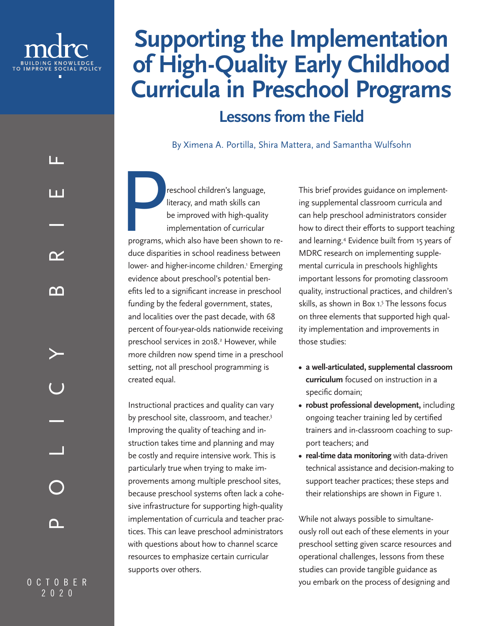<span id="page-0-0"></span>

LL.

l I I

 $\boldsymbol{\gamma}$ 

# **Supporting the Implementation of High-Quality Early Childhood Curricula in Preschool Programs Lessons from the Field**

By Ximena A. Portilla, Shira Mattera, and Samantha Wulfsohn

**Preschool children's language,**<br>literacy, and math skills can<br>be improved with high-quality<br>implementation of curricular<br>programs, which also have been shown t literacy, and math skills can be improved with high-quality implementation of curricular programs, which also have been shown to reduce disparities in school readiness between lower- and higher-income children.<sup>1</sup> Emerging evidence about preschool's potential benefits led to a significant increase in preschool funding by the federal government, states, and localities over the past decade, with 68 percent of four-year-olds nationwide receiving preschool services in 2018.<sup>2</sup> However, while more children now spend time in a preschool setting, not all preschool programming is created equal.

Instructional practices and quality can vary by preschool site, classroom, and teacher.<sup>3</sup> Improving the quality of teaching and instruction takes time and planning and may be costly and require intensive work. This is particularly true when trying to make improvements among multiple preschool sites, because preschool systems often lack a cohesive infrastructure for supporting high-quality implementation of curricula and teacher practices. This can leave preschool administrators with questions about how to channel scarce resources to emphasize certain curricular supports over others.

This brief provides guidance on implementing supplemental classroom curricula and can help preschool administrators consider how to direct their efforts to support teaching and learning[.4](#page-9-0) Evidence built from 15 years of MDRC research on implementing supplemental curricula in preschools highlights important lessons for promoting classroom quality, instructional practices, and children's skills, as shown in Box 1[.5](#page-9-0) The lessons focus on three elements that supported high quality implementation and improvements in those studies:

- **• a well-articulated, supplemental classroom curriculum** focused on instruction in a specific domain;
- **• robust professional development,** including ongoing teacher training led by certified trainers and in-classroom coaching to support teachers; and
- **• real-time data monitoring** with data-driven technical assistance and decision-making to support teacher practices; these steps and their relationships are shown in Figure 1.

While not always possible to simultaneously roll out each of these elements in your preschool setting given scarce resources and operational challenges, lessons from these studies can provide tangible guidance as you embark on the process of designing and

O C T O B E R OCTOBER  $2020$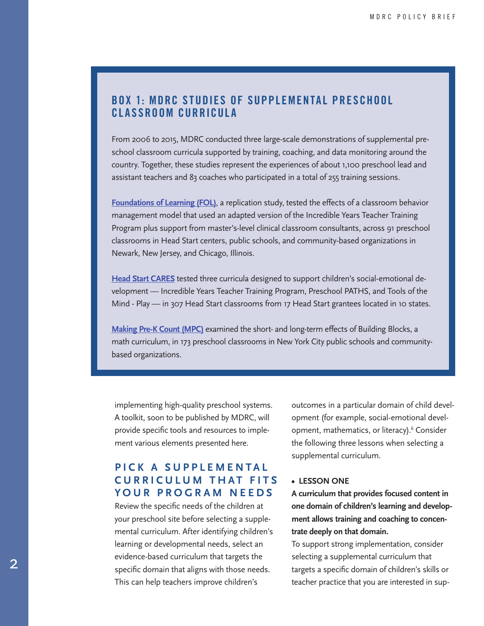# <span id="page-1-0"></span>BOX 1: MDRC STUDIES OF SUPPLEMENTAL PRESCHOOL CLASSROOM CURRICULA

From 2006 to 2015, MDRC conducted three large-scale demonstrations of supplemental preschool classroom curricula supported by training, coaching, and data monitoring around the country. Together, these studies represent the experiences of about 1,100 preschool lead and assistant teachers and 83 coaches who participated in a total of 255 training sessions.

**[Foundations of Learning \(FOL\)](https://www.mdrc.org/project/foundations-learning-project#overview)**, a replication study, tested the effects of a classroom behavior management model that used an adapted version of the Incredible Years Teacher Training Program plus support from master's-level clinical classroom consultants, across 91 preschool classrooms in Head Start centers, public schools, and community-based organizations in Newark, New Jersey, and Chicago, Illinois.

**[Head Start CARES](https://www.mdrc.org/project/head-start-cares-project#overview)** tested three curricula designed to support children's social-emotional development — Incredible Years Teacher Training Program, Preschool PATHS, and Tools of the Mind - Play — in 307 Head Start classrooms from 17 Head Start grantees located in 10 states.

**[Making Pre-K Count \(MPC\)](https://www.mdrc.org/project/making-pre-k-count#overview)** examined the short- and long-term effects of Building Blocks, a math curriculum, in 173 preschool classrooms in New York City public schools and communitybased organizations.

implementing high-quality preschool systems. A toolkit, soon to be published by MDRC, will provide specific tools and resources to implement various elements presented here.

# **PICK A SUPPLEMENTAL CURRICULUM THAT FITS YOUR PROGRAM NEEDS**

Review the specific needs of the children at your preschool site before selecting a supplemental curriculum. After identifying children's learning or developmental needs, select an evidence-based curriculum that targets the specific domain that aligns with those needs. This can help teachers improve children's

outcomes in a particular domain of child development (for example, social-emotional development, mathematics, or literacy).<sup>6</sup> Consider the following three lessons when selecting a supplemental curriculum.

#### **• LESSON ONE**

**A curriculum that provides focused content in one domain of children's learning and development allows training and coaching to concentrate deeply on that domain.**

To support strong implementation, consider selecting a supplemental curriculum that targets a specific domain of children's skills or teacher practice that you are interested in sup-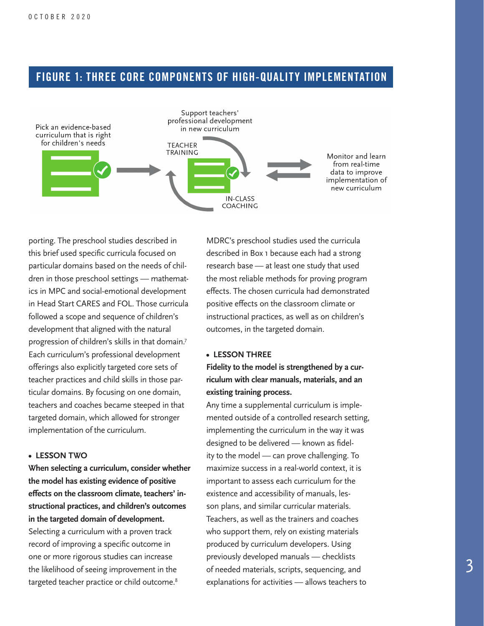# <span id="page-2-0"></span>FIGURE 1: THREE CORE COMPONENTS OF HIGH-QUALITY IMPLEMENTATION



porting. The preschool studies described in this brief used specific curricula focused on particular domains based on the needs of children in those preschool settings — mathematics in MPC and social-emotional development in Head Start CARES and FOL. Those curricula followed a scope and sequence of children's development that aligned with the natural progression of children's skills in that domain[.7](#page-9-0) Each curriculum's professional development offerings also explicitly targeted core sets of teacher practices and child skills in those particular domains. By focusing on one domain, teachers and coaches became steeped in that targeted domain, which allowed for stronger implementation of the curriculum.

#### **• LESSON TWO**

**When selecting a curriculum, consider whether the model has existing evidence of positive effects on the classroom climate, teachers' instructional practices, and children's outcomes in the targeted domain of development.** Selecting a curriculum with a proven track record of improving a specific outcome in one or more rigorous studies can increase the likelihood of seeing improvement in the targeted teacher practice or child outcome.<sup>[8](#page-9-0)</sup>

MDRC's preschool studies used the curricula described in Box 1 because each had a strong research base — at least one study that used the most reliable methods for proving program effects. The chosen curricula had demonstrated positive effects on the classroom climate or instructional practices, as well as on children's outcomes, in the targeted domain.

#### **• LESSON THREE**

**Fidelity to the model is strengthened by a curriculum with clear manuals, materials, and an existing training process.**

Any time a supplemental curriculum is implemented outside of a controlled research setting, implementing the curriculum in the way it was designed to be delivered — known as fidelity to the model — can prove challenging. To maximize success in a real-world context, it is important to assess each curriculum for the existence and accessibility of manuals, lesson plans, and similar curricular materials. Teachers, as well as the trainers and coaches who support them, rely on existing materials produced by curriculum developers. Using previously developed manuals — checklists of needed materials, scripts, sequencing, and explanations for activities — allows teachers to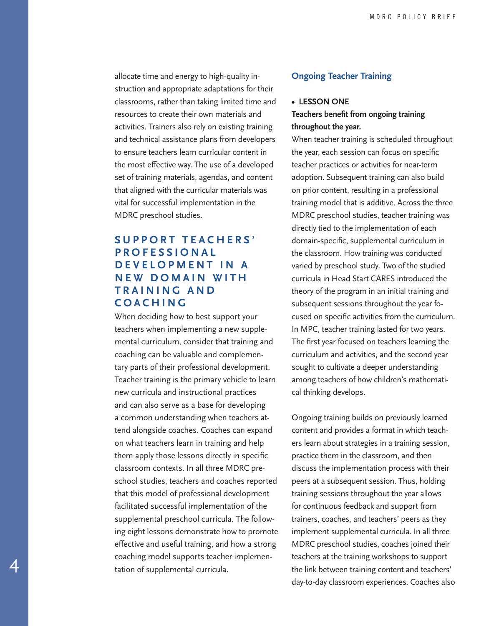allocate time and energy to high-quality instruction and appropriate adaptations for their classrooms, rather than taking limited time and resources to create their own materials and activities. Trainers also rely on existing training and technical assistance plans from developers to ensure teachers learn curricular content in the most effective way. The use of a developed set of training materials, agendas, and content that aligned with the curricular materials was vital for successful implementation in the MDRC preschool studies.

# **S U P P O R T T E A C H E R S ' P R O F E S S I O N A L D E V E L O P M E N T I N A N E W D O M A I N W I T H T R A I N I N G A N D COACHING**

When deciding how to best support your teachers when implementing a new supplemental curriculum, consider that training and coaching can be valuable and complementary parts of their professional development. Teacher training is the primary vehicle to learn new curricula and instructional practices and can also serve as a base for developing a common understanding when teachers attend alongside coaches. Coaches can expand on what teachers learn in training and help them apply those lessons directly in specific classroom contexts. In all three MDRC preschool studies, teachers and coaches reported that this model of professional development facilitated successful implementation of the supplemental preschool curricula. The following eight lessons demonstrate how to promote effective and useful training, and how a strong coaching model supports teacher implementation of supplemental curricula.

4

#### **Ongoing Teacher Training**

## **• LESSON ONE**

## **Teachers benefit from ongoing training throughout the year.**

When teacher training is scheduled throughout the year, each session can focus on specific teacher practices or activities for near-term adoption. Subsequent training can also build on prior content, resulting in a professional training model that is additive. Across the three MDRC preschool studies, teacher training was directly tied to the implementation of each domain-specific, supplemental curriculum in the classroom. How training was conducted varied by preschool study. Two of the studied curricula in Head Start CARES introduced the theory of the program in an initial training and subsequent sessions throughout the year focused on specific activities from the curriculum. In MPC, teacher training lasted for two years. The first year focused on teachers learning the curriculum and activities, and the second year sought to cultivate a deeper understanding among teachers of how children's mathematical thinking develops.

Ongoing training builds on previously learned content and provides a format in which teachers learn about strategies in a training session, practice them in the classroom, and then discuss the implementation process with their peers at a subsequent session. Thus, holding training sessions throughout the year allows for continuous feedback and support from trainers, coaches, and teachers' peers as they implement supplemental curricula. In all three MDRC preschool studies, coaches joined their teachers at the training workshops to support the link between training content and teachers' day-to-day classroom experiences. Coaches also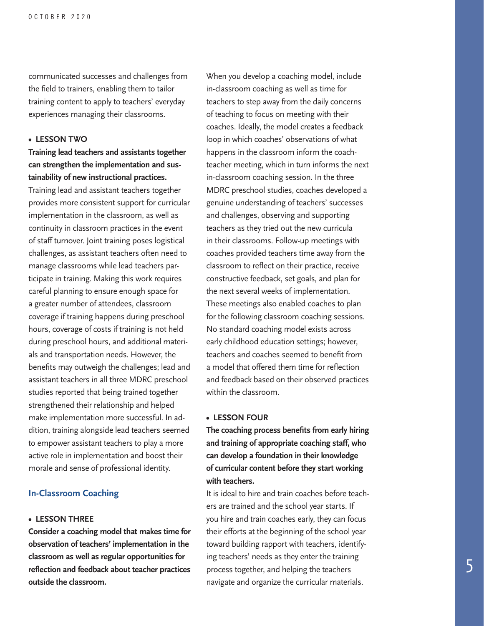communicated successes and challenges from the field to trainers, enabling them to tailor training content to apply to teachers' everyday experiences managing their classrooms.

#### **• LESSON TWO**

## **Training lead teachers and assistants together can strengthen the implementation and sustainability of new instructional practices.**

Training lead and assistant teachers together provides more consistent support for curricular implementation in the classroom, as well as continuity in classroom practices in the event of staff turnover. Joint training poses logistical challenges, as assistant teachers often need to manage classrooms while lead teachers participate in training. Making this work requires careful planning to ensure enough space for a greater number of attendees, classroom coverage if training happens during preschool hours, coverage of costs if training is not held during preschool hours, and additional materials and transportation needs. However, the benefits may outweigh the challenges; lead and assistant teachers in all three MDRC preschool studies reported that being trained together strengthened their relationship and helped make implementation more successful. In addition, training alongside lead teachers seemed to empower assistant teachers to play a more active role in implementation and boost their morale and sense of professional identity.

## **In-Classroom Coaching**

#### **• LESSON THREE**

**Consider a coaching model that makes time for observation of teachers' implementation in the classroom as well as regular opportunities for reflection and feedback about teacher practices outside the classroom.**

When you develop a coaching model, include in-classroom coaching as well as time for teachers to step away from the daily concerns of teaching to focus on meeting with their coaches. Ideally, the model creates a feedback loop in which coaches' observations of what happens in the classroom inform the coachteacher meeting, which in turn informs the next in-classroom coaching session. In the three MDRC preschool studies, coaches developed a genuine understanding of teachers' successes and challenges, observing and supporting teachers as they tried out the new curricula in their classrooms. Follow-up meetings with coaches provided teachers time away from the classroom to reflect on their practice, receive constructive feedback, set goals, and plan for the next several weeks of implementation. These meetings also enabled coaches to plan for the following classroom coaching sessions. No standard coaching model exists across early childhood education settings; however, teachers and coaches seemed to benefit from a model that offered them time for reflection and feedback based on their observed practices within the classroom.

#### **• LESSON FOUR**

**The coaching process benefits from early hiring and training of appropriate coaching staff, who can develop a foundation in their knowledge of curricular content before they start working with teachers.**

It is ideal to hire and train coaches before teachers are trained and the school year starts. If you hire and train coaches early, they can focus their efforts at the beginning of the school year toward building rapport with teachers, identifying teachers' needs as they enter the training process together, and helping the teachers navigate and organize the curricular materials.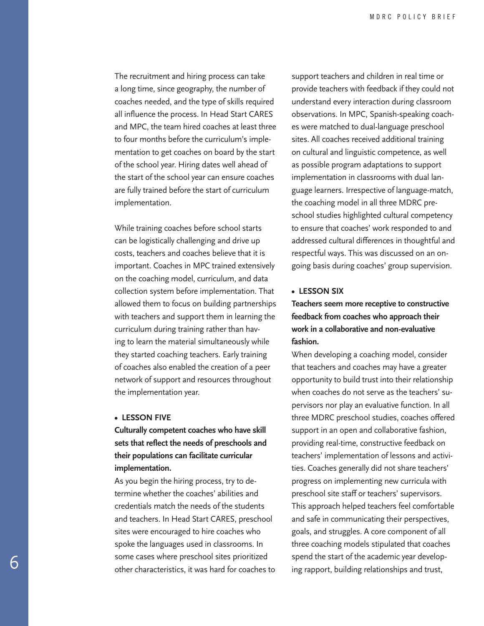The recruitment and hiring process can take a long time, since geography, the number of coaches needed, and the type of skills required all influence the process. In Head Start CARES and MPC, the team hired coaches at least three to four months before the curriculum's implementation to get coaches on board by the start of the school year. Hiring dates well ahead of the start of the school year can ensure coaches are fully trained before the start of curriculum implementation.

While training coaches before school starts can be logistically challenging and drive up costs, teachers and coaches believe that it is important. Coaches in MPC trained extensively on the coaching model, curriculum, and data collection system before implementation. That allowed them to focus on building partnerships with teachers and support them in learning the curriculum during training rather than having to learn the material simultaneously while they started coaching teachers. Early training of coaches also enabled the creation of a peer network of support and resources throughout the implementation year.

#### **• LESSON FIVE**

**Culturally competent coaches who have skill sets that reflect the needs of preschools and their populations can facilitate curricular implementation.**

As you begin the hiring process, try to determine whether the coaches' abilities and credentials match the needs of the students and teachers. In Head Start CARES, preschool sites were encouraged to hire coaches who spoke the languages used in classrooms. In some cases where preschool sites prioritized other characteristics, it was hard for coaches to support teachers and children in real time or provide teachers with feedback if they could not understand every interaction during classroom observations. In MPC, Spanish-speaking coaches were matched to dual-language preschool sites. All coaches received additional training on cultural and linguistic competence, as well as possible program adaptations to support implementation in classrooms with dual language learners. Irrespective of language-match, the coaching model in all three MDRC preschool studies highlighted cultural competency to ensure that coaches' work responded to and addressed cultural differences in thoughtful and respectful ways. This was discussed on an ongoing basis during coaches' group supervision.

#### **• LESSON SIX**

**Teachers seem more receptive to constructive feedback from coaches who approach their work in a collaborative and non-evaluative fashion.**

When developing a coaching model, consider that teachers and coaches may have a greater opportunity to build trust into their relationship when coaches do not serve as the teachers' supervisors nor play an evaluative function. In all three MDRC preschool studies, coaches offered support in an open and collaborative fashion, providing real-time, constructive feedback on teachers' implementation of lessons and activities. Coaches generally did not share teachers' progress on implementing new curricula with preschool site staff or teachers' supervisors. This approach helped teachers feel comfortable and safe in communicating their perspectives, goals, and struggles. A core component of all three coaching models stipulated that coaches spend the start of the academic year developing rapport, building relationships and trust,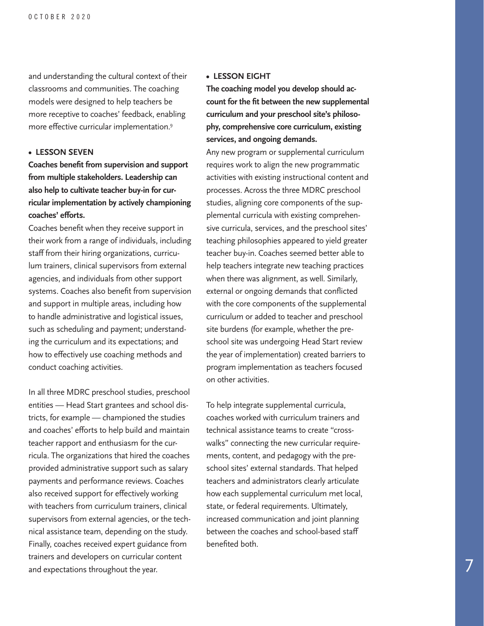<span id="page-6-0"></span>and understanding the cultural context of their classrooms and communities. The coaching models were designed to help teachers be more receptive to coaches' feedback, enabling more effective curricular implementation[.9](#page-9-0)

#### **• LESSON SEVEN**

**Coaches benefit from supervision and support from multiple stakeholders. Leadership can also help to cultivate teacher buy-in for curricular implementation by actively championing coaches' efforts.**

Coaches benefit when they receive support in their work from a range of individuals, including staff from their hiring organizations, curriculum trainers, clinical supervisors from external agencies, and individuals from other support systems. Coaches also benefit from supervision and support in multiple areas, including how to handle administrative and logistical issues, such as scheduling and payment; understanding the curriculum and its expectations; and how to effectively use coaching methods and conduct coaching activities.

In all three MDRC preschool studies, preschool entities — Head Start grantees and school districts, for example — championed the studies and coaches' efforts to help build and maintain teacher rapport and enthusiasm for the curricula. The organizations that hired the coaches provided administrative support such as salary payments and performance reviews. Coaches also received support for effectively working with teachers from curriculum trainers, clinical supervisors from external agencies, or the technical assistance team, depending on the study. Finally, coaches received expert guidance from trainers and developers on curricular content and expectations throughout the year.

#### **• LESSON EIGHT**

**The coaching model you develop should account for the fit between the new supplemental curriculum and your preschool site's philosophy, comprehensive core curriculum, existing services, and ongoing demands.**

Any new program or supplemental curriculum requires work to align the new programmatic activities with existing instructional content and processes. Across the three MDRC preschool studies, aligning core components of the supplemental curricula with existing comprehensive curricula, services, and the preschool sites' teaching philosophies appeared to yield greater teacher buy-in. Coaches seemed better able to help teachers integrate new teaching practices when there was alignment, as well. Similarly, external or ongoing demands that conflicted with the core components of the supplemental curriculum or added to teacher and preschool site burdens (for example, whether the preschool site was undergoing Head Start review the year of implementation) created barriers to program implementation as teachers focused on other activities.

To help integrate supplemental curricula, coaches worked with curriculum trainers and technical assistance teams to create "crosswalks" connecting the new curricular requirements, content, and pedagogy with the preschool sites' external standards. That helped teachers and administrators clearly articulate how each supplemental curriculum met local, state, or federal requirements. Ultimately, increased communication and joint planning between the coaches and school-based staff benefited both.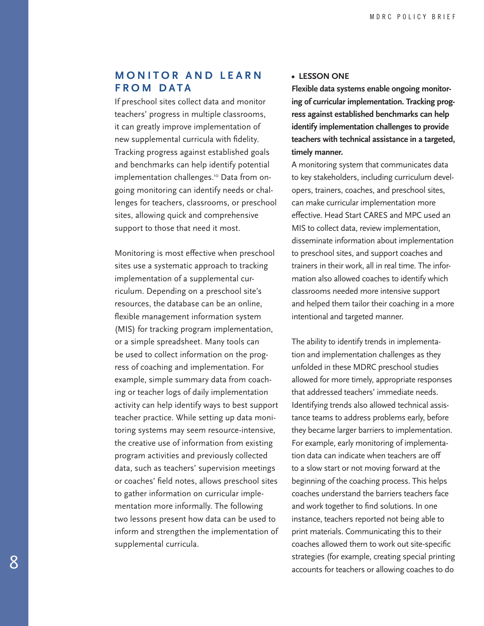# <span id="page-7-0"></span>**M O N I T O R A N D L E A R N F R O M D A T A**

If preschool sites collect data and monitor teachers' progress in multiple classrooms, it can greatly improve implementation of new supplemental curricula with fidelity. Tracking progress against established goals and benchmarks can help identify potential implementation challenges.<sup>10</sup> Data from ongoing monitoring can identify needs or challenges for teachers, classrooms, or preschool sites, allowing quick and comprehensive support to those that need it most.

Monitoring is most effective when preschool sites use a systematic approach to tracking implementation of a supplemental curriculum. Depending on a preschool site's resources, the database can be an online, flexible management information system (MIS) for tracking program implementation, or a simple spreadsheet. Many tools can be used to collect information on the progress of coaching and implementation. For example, simple summary data from coaching or teacher logs of daily implementation activity can help identify ways to best support teacher practice. While setting up data monitoring systems may seem resource-intensive, the creative use of information from existing program activities and previously collected data, such as teachers' supervision meetings or coaches' field notes, allows preschool sites to gather information on curricular implementation more informally. The following two lessons present how data can be used to inform and strengthen the implementation of supplemental curricula.

#### **• LESSON ONE**

**Flexible data systems enable ongoing monitoring of curricular implementation. Tracking progress against established benchmarks can help identify implementation challenges to provide teachers with technical assistance in a targeted, timely manner.**

A monitoring system that communicates data to key stakeholders, including curriculum developers, trainers, coaches, and preschool sites, can make curricular implementation more effective. Head Start CARES and MPC used an MIS to collect data, review implementation, disseminate information about implementation to preschool sites, and support coaches and trainers in their work, all in real time. The information also allowed coaches to identify which classrooms needed more intensive support and helped them tailor their coaching in a more intentional and targeted manner.

The ability to identify trends in implementation and implementation challenges as they unfolded in these MDRC preschool studies allowed for more timely, appropriate responses that addressed teachers' immediate needs. Identifying trends also allowed technical assistance teams to address problems early, before they became larger barriers to implementation. For example, early monitoring of implementation data can indicate when teachers are off to a slow start or not moving forward at the beginning of the coaching process. This helps coaches understand the barriers teachers face and work together to find solutions. In one instance, teachers reported not being able to print materials. Communicating this to their coaches allowed them to work out site-specific strategies (for example, creating special printing accounts for teachers or allowing coaches to do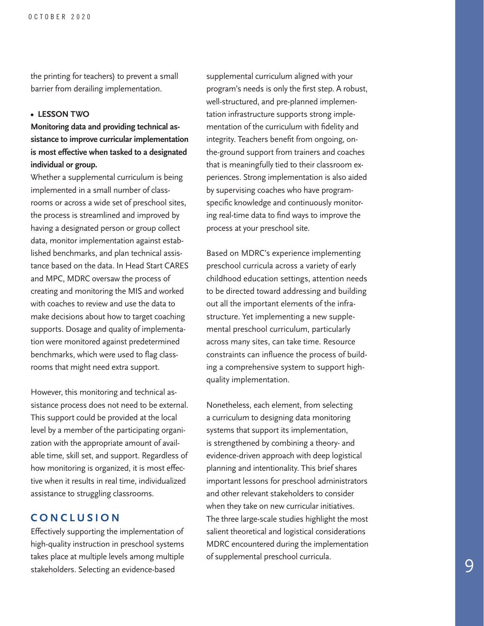the printing for teachers) to prevent a small barrier from derailing implementation.

## **• LESSON TWO**

## **Monitoring data and providing technical assistance to improve curricular implementation is most effective when tasked to a designated individual or group.**

Whether a supplemental curriculum is being implemented in a small number of classrooms or across a wide set of preschool sites, the process is streamlined and improved by having a designated person or group collect data, monitor implementation against established benchmarks, and plan technical assistance based on the data. In Head Start CARES and MPC, MDRC oversaw the process of creating and monitoring the MIS and worked with coaches to review and use the data to make decisions about how to target coaching supports. Dosage and quality of implementation were monitored against predetermined benchmarks, which were used to flag classrooms that might need extra support.

However, this monitoring and technical assistance process does not need to be external. This support could be provided at the local level by a member of the participating organization with the appropriate amount of available time, skill set, and support. Regardless of how monitoring is organized, it is most effective when it results in real time, individualized assistance to struggling classrooms.

## **CONCLUSION**

Effectively supporting the implementation of high-quality instruction in preschool systems takes place at multiple levels among multiple stakeholders. Selecting an evidence-based

supplemental curriculum aligned with your program's needs is only the first step. A robust, well-structured, and pre-planned implementation infrastructure supports strong implementation of the curriculum with fidelity and integrity. Teachers benefit from ongoing, onthe-ground support from trainers and coaches that is meaningfully tied to their classroom experiences. Strong implementation is also aided by supervising coaches who have programspecific knowledge and continuously monitoring real-time data to find ways to improve the process at your preschool site.

Based on MDRC's experience implementing preschool curricula across a variety of early childhood education settings, attention needs to be directed toward addressing and building out all the important elements of the infrastructure. Yet implementing a new supplemental preschool curriculum, particularly across many sites, can take time. Resource constraints can influence the process of building a comprehensive system to support highquality implementation.

Nonetheless, each element, from selecting a curriculum to designing data monitoring systems that support its implementation, is strengthened by combining a theory- and evidence-driven approach with deep logistical planning and intentionality. This brief shares important lessons for preschool administrators and other relevant stakeholders to consider when they take on new curricular initiatives. The three large-scale studies highlight the most salient theoretical and logistical considerations MDRC encountered during the implementation of supplemental preschool curricula.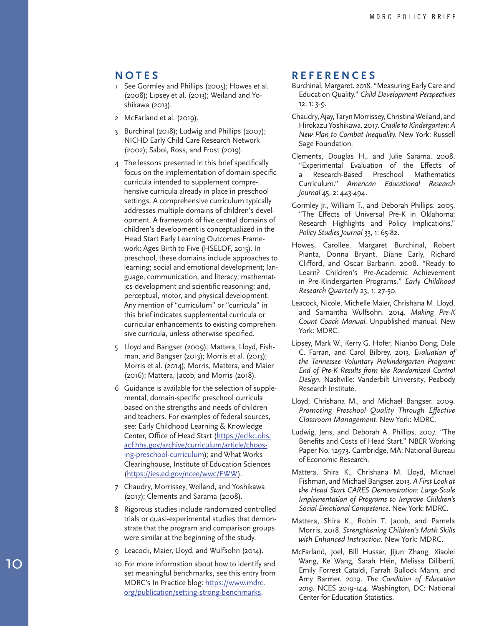## <span id="page-9-0"></span>**NOTES**

- [1](#page-0-0) See Gormley and Phillips (2005); Howes et al. (2008); Lipsey et al. (2013); Weiland and Yo shikawa (2013).
- [2](#page-0-0) McFarland et al. (2019).
- [3](#page-0-0) Burchinal (2018); Ludwig and Phillips (2007); NICHD Early Child Care Research Network (2002); Sabol, Ross, and Frost (2019).
- [4](#page-0-0) The lessons presented in this brief specifically focus on the implementation of domain-specific curricula intended to supplement compre hensive curricula already in place in preschool settings. A comprehensive curriculum typically addresses multiple domains of children's devel opment. A framework of five central domains of children's development is conceptualized in the Head Start Early Learning Outcomes Frame work: Ages Birth to Five (HSELOF, 2015). In preschool, these domains include approaches to learning; social and emotional development; lan guage, communication, and literacy; mathemat ics development and scientific reasoning; and, perceptual, motor, and physical development. Any mention of "curriculum" or "curricula" in this brief indicates supplemental curricula or curricular enhancements to existing comprehen sive curricula, unless otherwise specified.
- [5](#page-0-0) Lloyd and Bangser (2009); Mattera, Lloyd, Fish man, and Bangser (2013); Morris et al. (2013); Morris et al. (2014); Morris, Mattera, and Maier (2016); Mattera, Jacob, and Morris (2018).
- [6](#page-1-0) Guidance is available for the selection of supple mental, domain-specific preschool curricula based on the strengths and needs of children and teachers. For examples of federal sources, see: Early Childhood Learning & Knowledge Center, Office of Head Start [\(https://eclkc.ohs.](https://eclkc.ohs.acf.hhs.gov/archive/curriculum/article/choosing-preschool-curriculum) [acf.hhs.gov/archive/curriculum/article/choos](https://eclkc.ohs.acf.hhs.gov/archive/curriculum/article/choosing-preschool-curriculum) [ing-preschool-curriculum](https://eclkc.ohs.acf.hhs.gov/archive/curriculum/article/choosing-preschool-curriculum)); and What Works Clearinghouse, Institute of Education Sciences ([https://ies.ed.gov/ncee/wwc/FWW\)](https://ies.ed.gov/ncee/wwc/FWW).
- [7](#page-2-0) Chaudry, Morrissey, Weiland, and Yoshikawa (2017); Clements and Sarama (2008).
- [8](#page-2-0) Rigorous studies include randomized controlled trials or quasi-experimental studies that demon strate that the program and comparison groups were similar at the beginning of the study.
- [9](#page-6-0) Leacock, Maier, Lloyd, and Wulfsohn (2014).
- [10](#page-7-0) For more information about how to identify and set meaningful benchmarks, see this entry from MDRC's In Practice blog: [https://www.mdrc.](https://www.mdrc.org/publication/setting-strong-benchmarks) [org/publication/setting-strong-benchmarks](https://www.mdrc.org/publication/setting-strong-benchmarks) .

## **REFERENCES**

- Burchinal, Margaret. 2018. "Measuring Early Care and Education Quality." *Child Development Perspectives*  12, 1: 3-9.
- Chaudry, Ajay, Taryn Morrissey, Christina Weiland, and Hirokazu Yoshikawa. 2017. *Cradle to Kindergarten: A New Plan to Combat Inequality*. New York: Russell Sage Foundation.
- Clements, Douglas H., and Julie Sarama. 2008. "Experimental Evaluation of the Effects of Research-Based Preschool Mathematics Curriculum." *American Educational Research Journal* 45, 2: 443-494.
- Gormley Jr., William T., and Deborah Phillips. 2005. "The Effects of Universal Pre-K in Oklahoma: Research Highlights and Policy Implications." *Policy Studies Journal* 33, 1: 65-82.
- Howes, Carollee, Margaret Burchinal, Robert Pianta, Donna Bryant, Diane Early, Richard Clifford, and Oscar Barbarin. 2008. "Ready to Learn? Children's Pre-Academic Achievement in Pre-Kindergarten Programs." *Early Childhood Research Quarterly* 23, 1: 27-50.
- Leacock, Nicole, Michelle Maier, Chrishana M. Lloyd, and Samantha Wulfsohn. 2014. *Making Pre-K Count Coach Manual*. Unpublished manual. New York: MDRC.
- Lipsey, Mark W., Kerry G. Hofer, Nianbo Dong, Dale C. Farran, and Carol Bilbrey. 2013. E*valuation of the Tennessee Voluntary Prekindergarten Program: End of Pre-K Results from the Randomized Control Design*. Nashville: Vanderbilt University, Peabody Research Institute.
- Lloyd, Chrishana M., and Michael Bangser. 2009. *Promoting Preschool Quality Through Effective Classroom Management*. New York: MDRC.
- Ludwig, Jens, and Deborah A. Phillips. 2007. "The Benefits and Costs of Head Start." NBER Working Paper No. 12973. Cambridge, MA: National Bureau of Economic Research.
- Mattera, Shira K., Chrishana M. Lloyd, Michael Fishman, and Michael Bangser. 2013. *A First Look at the Head Start CARES Demonstration: Large-Scale Implementation of Programs to Improve Children's Social-Emotional Competence*. New York: MDRC.
- Mattera, Shira K., Robin T. Jacob, and Pamela Morris. 2018. *Strengthening Children's Math Skills with Enhanced Instruction*. New York: MDRC.
- McFarland, Joel, Bill Hussar, Jijun Zhang, Xiaolei Wang, Ke Wang, Sarah Hein, Melissa Diliberti, Emily Forrest Cataldi, Farrah Bullock Mann, and Amy Barmer. 2019. *The Condition of Education 2019*. NCES 2019-144. Washington, DC: National Center for Education Statistics.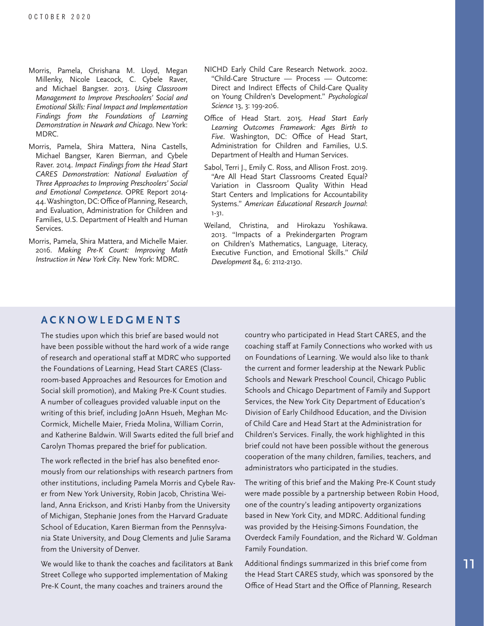- Morris, Pamela, Chrishana M. Lloyd, Megan Millenky, Nicole Leacock, C. Cybele Raver, and Michael Bangser. 2013. *Using Classroom Management to Improve Preschoolers' Social and Emotional Skills: Final Impact and Implementation Findings from the Foundations of Learning Demonstration in Newark and Chicago*. New York: MDRC.
- Morris, Pamela, Shira Mattera, Nina Castells, Michael Bangser, Karen Bierman, and Cybele Raver. 2014. *Impact Findings from the Head Start CARES Demonstration: National Evaluation of Three Approaches to Improving Preschoolers' Social and Emotional Competence*. OPRE Report 2014- 44. Washington, DC: Office of Planning, Research, and Evaluation, Administration for Children and Families, U.S. Department of Health and Human Services.
- Morris, Pamela, Shira Mattera, and Michelle Maier. 2016. *Making Pre-K Count: Improving Math Instruction in New York City*. New York: MDRC.
- NICHD Early Child Care Research Network. 2002. "Child-Care Structure — Process — Outcome: Direct and Indirect Effects of Child-Care Quality on Young Children's Development." *Psychological Science* 13, 3: 199-206.
- Office of Head Start. 2015. *Head Start Early Learning Outcomes Framework: Ages Birth to Five*. Washington, DC: Office of Head Start, Administration for Children and Families, U.S. Department of Health and Human Services.
- Sabol, Terri J., Emily C. Ross, and Allison Frost. 2019. "Are All Head Start Classrooms Created Equal? Variation in Classroom Quality Within Head Start Centers and Implications for Accountability Systems." *American Educational Research Journal*: 1-31.
- Weiland, Christina, and Hirokazu Yoshikawa. 2013. "Impacts of a Prekindergarten Program on Children's Mathematics, Language, Literacy, Executive Function, and Emotional Skills." *Child Development* 84, 6: 2112-2130.

## **ACKNOWLEDGMENTS**

The studies upon which this brief are based would not have been possible without the hard work of a wide range of research and operational staff at MDRC who supported the Foundations of Learning, Head Start CARES (Classroom-based Approaches and Resources for Emotion and Social skill promotion), and Making Pre-K Count studies. A number of colleagues provided valuable input on the writing of this brief, including JoAnn Hsueh, Meghan Mc-Cormick, Michelle Maier, Frieda Molina, William Corrin, and Katherine Baldwin. Will Swarts edited the full brief and Carolyn Thomas prepared the brief for publication.

The work reflected in the brief has also benefited enormously from our relationships with research partners from other institutions, including Pamela Morris and Cybele Raver from New York University, Robin Jacob, Christina Weiland, Anna Erickson, and Kristi Hanby from the University of Michigan, Stephanie Jones from the Harvard Graduate School of Education, Karen Bierman from the Pennsylvania State University, and Doug Clements and Julie Sarama from the University of Denver.

We would like to thank the coaches and facilitators at Bank Street College who supported implementation of Making Pre-K Count, the many coaches and trainers around the

country who participated in Head Start CARES, and the coaching staff at Family Connections who worked with us on Foundations of Learning. We would also like to thank the current and former leadership at the Newark Public Schools and Newark Preschool Council, Chicago Public Schools and Chicago Department of Family and Support Services, the New York City Department of Education's Division of Early Childhood Education, and the Division of Child Care and Head Start at the Administration for Children's Services. Finally, the work highlighted in this brief could not have been possible without the generous cooperation of the many children, families, teachers, and administrators who participated in the studies.

The writing of this brief and the Making Pre-K Count study were made possible by a partnership between Robin Hood, one of the country's leading antipoverty organizations based in New York City, and MDRC. Additional funding was provided by the Heising-Simons Foundation, the Overdeck Family Foundation, and the Richard W. Goldman Family Foundation.

Additional findings summarized in this brief come from the Head Start CARES study, which was sponsored by the Office of Head Start and the Office of Planning, Research